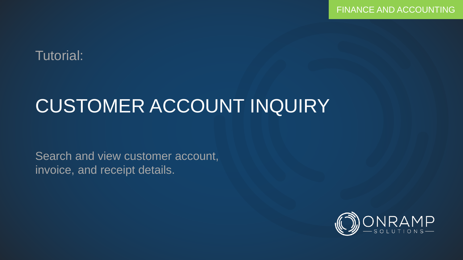### Tutorial:

# CUSTOMER ACCOUNT INQUIRY

Search and view customer account, invoice, and receipt details.

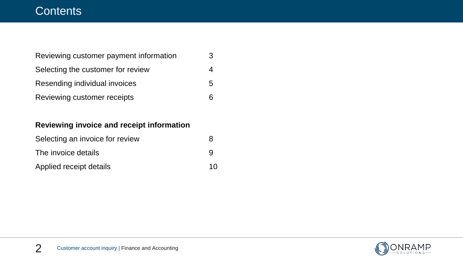### **Contents**

| Reviewing customer payment information | 3  |
|----------------------------------------|----|
| Selecting the customer for review      |    |
| Resending individual invoices          | 5  |
| Reviewing customer receipts            | ิค |

#### **Reviewing invoice and receipt information**

| Selecting an invoice for review |    |
|---------------------------------|----|
| The invoice details             | Q  |
| Applied receipt details         | 10 |

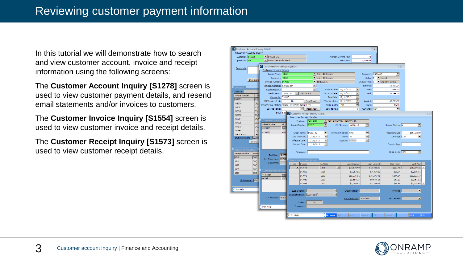In this tutorial we will demonstrate how to search and view customer account, invoice and receipt information using the following screens:

The **Customer Account Inquiry [S1278]** screen is used to view customer payment details, and resend email statements and/or invoices to customers.

The **Customer Invoice Inquiry [S1554]** screen is used to view customer invoice and receipt details.

The **Customer Receipt Inquiry [S1573]** screen is used to view customer receipt details.



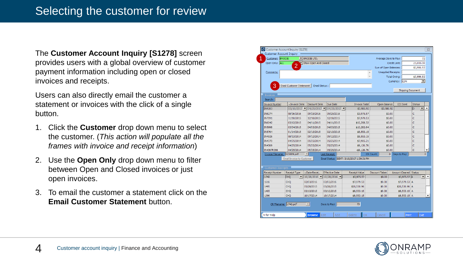The **Customer Account Inquiry [S1278]** screen provides users with a global overview of customer payment information including open or closed invoices and receipts.

Users can also directly email the customer a statement or invoices with the click of a single button.

- 1. Click the **Customer** drop down menu to select the customer. (*This action will populate all the frames with invoice and receipt information*)
- 2. Use the **Open Only** drop down menu to filter between Open and Closed invoices or just open invoices.
- 3. To email the customer a statement click on the **Email Customer Statement** button.

| Customer Account Inquiry |                           |                                      |                                    |                                          |           |                            |                       |               |                          |
|--------------------------|---------------------------|--------------------------------------|------------------------------------|------------------------------------------|-----------|----------------------------|-----------------------|---------------|--------------------------|
| Customer: BRODIE         |                           | • BRODIE LTD.                        |                                    |                                          |           | Average Days to Pay:       |                       |               | 72                       |
| Open Only: ALL           | $\overline{2}$            | Show Open And Closed                 |                                    |                                          |           |                            | Credit Limit:         |               | 25,000.00                |
|                          |                           |                                      |                                    |                                          |           | Sum of Open Balances:      |                       |               | \$3,986.92               |
| Comments:                |                           |                                      |                                    |                                          |           | <b>Unapplied Receipts:</b> |                       |               |                          |
|                          |                           |                                      |                                    |                                          |           |                            | Total Owing:          |               | \$3,986.92               |
|                          |                           |                                      |                                    |                                          |           |                            | Currency: CDN         |               | $\overline{\phantom{a}}$ |
| 3                        | Email Customer Statement  | Email Status:                        |                                    |                                          |           |                            |                       |               |                          |
|                          |                           |                                      |                                    |                                          |           |                            | Shipping Document     |               |                          |
| <b>Invoices</b>          |                           |                                      |                                    |                                          |           |                            |                       |               |                          |
| Search:                  |                           |                                      |                                    |                                          |           |                            |                       |               |                          |
| <b>Invoice Number</b>    | - Invoice Date            | <b>Discount Date</b>                 | Due Date                           | <b>Invoice Total</b>                     |           | Open Balance               | <b>EDI</b> Sent       | <b>Status</b> |                          |
| <b>IN9203</b>            | 03/16/2017                | $04/25/2017$ $\blacktriangleright$   | $04/25/2017$ $\blacktriangledown$  | \$3,986.92                               |           | \$3,986.92                 |                       | lo            | $\blacktriangledown$     |
| <b>IN8274</b>            | 08/16/2016                | 09/25/2016                           | 09/25/2016                         | \$3,975.57                               |           | \$0.00                     |                       | Ċ             |                          |
| IN7091                   | 11/10/2015                | 12/10/2015                           | 12/10/2015                         | \$7,979.53                               |           | \$0.00                     |                       | Ċ             |                          |
| IN6042                   | 03/12/2015                | 04/11/2015                           | 04/11/2015                         | \$10,268.32                              |           | \$0.00                     |                       | Ċ             |                          |
| <b>IN5998</b>            | 03/04/2015                | 04/03/2015                           | 04/03/2015                         | \$10,262.64                              |           | \$0.00                     |                       | Ċ             |                          |
| <b>IN5764</b>            | 01/14/2015                | 02/13/2015                           | 02/13/2015                         | \$8,553.15                               |           | \$0.00                     |                       | Ċ             |                          |
| IN4926                   | 08/13/2014                | 09/12/2014                           | 09/12/2014                         | \$8,553.15                               |           | \$0.00                     |                       | Ċ             |                          |
| IN4370                   | 04/25/2014                | 05/25/2014                           | 05/25/2014                         | \$7,985.21                               |           | \$0.00                     |                       | Ċ             |                          |
| IN4369                   | 04/25/2014                | 05/25/2014                           | 05/25/2014                         | \$9,126.76                               |           | \$0.00                     |                       | Ċ             |                          |
| IN4367R366               | 04/25/2014                | 05/25/2014                           | 05/25/2014                         | $-59,126.76$                             |           | \$0.00                     |                       | Ċ             |                          |
| Invoice Filename:        | S23089.pdf                |                                      | Last Receipt:                      |                                          | CR Count: | $\bullet$                  | Days to Pay:          |               | ٥                        |
|                          | Email Invoice to Customer |                                      |                                    | Email Status: SENT: 3/16/2017 1:39:31 PM |           |                            |                       |               |                          |
|                          |                           |                                      |                                    |                                          |           |                            |                       |               |                          |
| <b>Customer Receipts</b> |                           |                                      |                                    |                                          |           |                            |                       |               |                          |
| <b>Receipt Number</b>    | Receipt Type              | -Date Recei                          | <b>Effective Date</b>              | <b>Receipt Value</b>                     |           | Discount Taken             | Amount Cleared Status |               |                          |
| 1742                     | Існо                      | $\mathbf{v}$ 10/28/2016 $\mathbf{v}$ | $10/28/2016$ $\blacktriangleright$ | \$3,975.57                               |           | \$0.00                     | \$3,975.57 A          |               | $\blacktriangledown$     |
| 1616                     | CHO                       | 02/03/2016                           | 02/03/2016                         | \$7,979.53                               |           | \$0.00                     | \$7,979.53 A          |               |                          |
| 1495                     | CHO                       | 05/28/2015                           | 05/28/2015                         | \$20,530.96                              |           | \$0.00                     | \$20,530.96 A         |               |                          |
| 1465                     | CHO                       | 03/13/2015                           | 03/13/2015                         | \$8,553.15                               |           | \$0.00                     | $$8,553,15$ A         |               |                          |
| 1396                     | CHO                       | 10/17/2014                           | 10/17/2014                         | \$8,553.15                               |           | \$0.00                     | $$8,553,15$ A         |               |                          |
| CR Filename: 1742.pdf    |                           |                                      |                                    |                                          |           |                            |                       |               |                          |
|                          |                           | $\vert \nabla \vert$                 | Days to Pay:                       | 73                                       |           |                            |                       |               |                          |

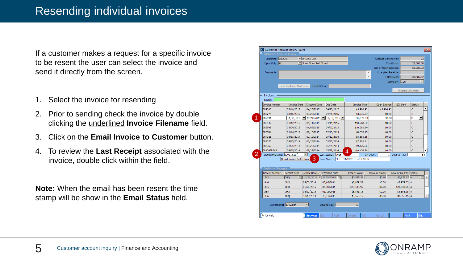If a customer makes a request for a specific invoice to be resent the user can select the invoice and send it directly from the screen.

- 1. Select the invoice for resending
- 2. Prior to sending check the invoice by double clicking the underlined **Invoice Filename** field.
- 3. Click on the **Email Invoice to Customer** button.
- 4. To review the **Last Receipt** associated with the invoice, double click within the field.

**Note:** When the email has been resent the time stamp will be show in the **Email Status** field.

| Customer Account Inquiry [S1278]<br><b>Customer Account Inquiry</b> |                             |                                          |                              |                                           |                            |                          |                           |
|---------------------------------------------------------------------|-----------------------------|------------------------------------------|------------------------------|-------------------------------------------|----------------------------|--------------------------|---------------------------|
| Customer: BRODIE                                                    |                             | $\blacktriangleright$ <b>BRODIE LTD.</b> |                              |                                           | Average Days to Pay:       |                          | 72                        |
| Open Only: ALL                                                      |                             | Show Open And Closed                     |                              |                                           |                            | Credit Limit:            | 25,000.00                 |
|                                                                     |                             |                                          |                              |                                           | Sum of Open Balances:      |                          | \$3,986.92                |
|                                                                     |                             |                                          |                              |                                           | <b>Unapplied Receipts:</b> |                          |                           |
| Comments:                                                           |                             |                                          |                              |                                           | À                          |                          | \$3,986.92                |
|                                                                     |                             |                                          |                              |                                           |                            | Total Owing:             |                           |
|                                                                     |                             |                                          |                              |                                           |                            | Currency: CDN            | ◾                         |
|                                                                     | Email Customer Statement    | Email Status:                            |                              |                                           |                            |                          |                           |
|                                                                     |                             |                                          |                              |                                           |                            | <b>Shipping Document</b> |                           |
| <b>Invoices</b>                                                     |                             |                                          |                              |                                           |                            |                          |                           |
| Search:                                                             |                             |                                          |                              |                                           |                            |                          |                           |
| <b>Invoice Number</b>                                               | - Invoice Date              | Discount Date                            | Due Date                     | <b>Invoice Total</b>                      | Open Balance               | EDI Sent                 | Status                    |
| <b>IN9203</b>                                                       | 03/16/2017                  | 04/25/2017                               | 04/25/2017                   | \$3,986.92                                | \$3,986.92                 |                          | $\circ$                   |
| <b>IN8274</b>                                                       | 08/16/2016                  | 09/25/2016                               | 09/25/2016                   | \$3,975.57                                | \$0.00                     |                          | с                         |
| IN7091                                                              | $11/10/2015$ $\blacksquare$ | $12/10/2015$ $\triangledown$             | $12/10/2015$ $\triangledown$ | \$7,979.53                                | \$0.00                     |                          | c<br>$\blacktriangledown$ |
| IN6042                                                              | 03/12/2015                  | 04/11/2015                               | 04/11/2015                   | \$10,268.32                               | \$0.00                     |                          | Ċ                         |
| <b>IN5998</b>                                                       | 03/04/2015                  | 04/03/2015                               | 04/03/2015                   | \$10,262.64                               | \$0.00                     |                          | Ċ                         |
| <b>IN5764</b>                                                       | 01/14/2015                  | 02/13/2015                               | 02/13/2015                   | \$8,553.15                                | \$0.00                     |                          | c                         |
| IN4926                                                              | 08/13/2014                  | 09/12/2014                               | 09/12/2014                   | \$8,553.15                                | \$0.00                     |                          | c                         |
| IN4370                                                              | 04/25/2014                  | 05/25/2014                               | 05/25/2014                   | \$7,985.21                                | \$0.00                     |                          | Ċ                         |
| <b>IN4369</b>                                                       | 04/25/2014                  | 05/25/2014                               | 05/25/2014                   | \$9,126.76                                | \$0.00                     |                          | Ċ                         |
| IN4367R366                                                          | 04/25/2014                  | 05/25/2014                               | 05/25/2014                   | $-59, 126, 76$<br>Δ                       | \$0.00                     |                          | c                         |
| Invoice Filename:                                                   | S20115.pdf                  |                                          | Last Receipt: 1616           |                                           | CR Count:                  | 1 Days to Pay:           | 85                        |
|                                                                     | Email Invoice to Custome    | З                                        |                              | Email Status: SENT: 11/10/2015 2:03:48 PM |                            |                          |                           |
| <b>Customer Receipts</b>                                            |                             |                                          |                              |                                           |                            |                          |                           |
| <b>Receipt Number</b>                                               | <b>Receipt Type</b>         | -Date Recei                              | <b>Effective Date</b>        | Receipt Value                             | <b>Discount Taken</b>      | Amount Cleared Status    |                           |
| 1742                                                                | <b>CHO</b>                  | $\mathbf{10}/28/2016$ $\mathbf{7}$       | $10/28/2016$ $\triangledown$ | \$3,975.57                                | \$0.00                     | \$3,975.57 A             | $\overline{\phantom{a}}$  |
| 1616                                                                | CHO                         | 02/03/2016                               | 02/03/2016                   | \$7,979.53                                | \$0.00                     | \$7,979.53 A             |                           |
| 1495                                                                | CHO                         | 05/28/2015                               | 05/28/2015                   | \$20,530.96                               | \$0.00                     | \$20,530.96 A            |                           |
| 1465                                                                | CHO                         | 03/13/2015                               | 03/13/2015                   | \$8,553.15                                | \$0.00                     | \$8,553.15 A             |                           |
| 1396                                                                | <b>CHQ</b>                  | 10/17/2014                               | 10/17/2014                   | \$8,553.15                                | \$0.00                     | \$8,553.15 A             |                           |
| CR Filename: 1742.pdf                                               |                             | $\overline{\phantom{a}}$                 | Days to Pay:                 | 73                                        |                            |                          |                           |
| F1 for Help                                                         |                             | <b>Browse</b><br>Edit                    | Add                          | OK<br>Delete                              | Cancel                     | Print                    | Exit                      |

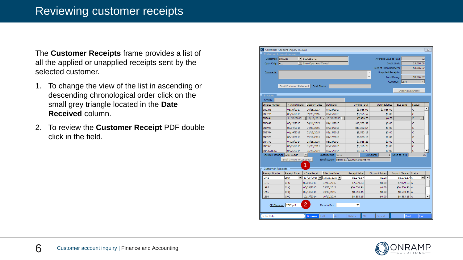The **Customer Receipts** frame provides a list of all the applied or unapplied receipts sent by the selected customer.

- 1. To change the view of the list in ascending or descending chronological order click on the small grey triangle located in the **Date Received** column.
- 2. To review the **Customer Receipt** PDF double click in the field.

| Customer Account Inquiry [S1278] |                                   |                                    |                                                       |                                           |                |                                |                                  | $\Sigma$                                 |  |
|----------------------------------|-----------------------------------|------------------------------------|-------------------------------------------------------|-------------------------------------------|----------------|--------------------------------|----------------------------------|------------------------------------------|--|
| Customer Account Inquiry         |                                   |                                    |                                                       |                                           |                |                                |                                  |                                          |  |
| Customer: BRODIE                 |                                   | $\blacktriangleright$ BRODIE LTD.  |                                                       |                                           |                | Average Days to Pay:           |                                  | 72                                       |  |
| Open Only: ALL                   |                                   | Show Open And Closed               |                                                       |                                           | Credit Limit:  |                                |                                  |                                          |  |
|                                  |                                   |                                    |                                                       |                                           |                | Sum of Open Balances:          | \$3,986.92                       |                                          |  |
| Comments:                        |                                   |                                    |                                                       |                                           | A.             | <b>Unapplied Receipts:</b>     |                                  |                                          |  |
|                                  |                                   |                                    |                                                       |                                           |                | <b>Total Owing:</b>            | \$3,986.92                       |                                          |  |
|                                  |                                   |                                    |                                                       |                                           |                | Currency: CDN                  |                                  | ▼                                        |  |
|                                  | Email Customer Statement          | Email Status:                      |                                                       |                                           |                |                                |                                  |                                          |  |
|                                  |                                   |                                    |                                                       |                                           |                |                                | <b>Shipping Document</b>         |                                          |  |
| <b>Invoices</b>                  |                                   |                                    |                                                       |                                           |                |                                |                                  |                                          |  |
| Search:                          |                                   |                                    |                                                       |                                           |                |                                |                                  |                                          |  |
| <b>Invoice Number</b>            | - Invoice Date                    | <b>Discount Date</b>               | Due Date                                              | <b>Invoice Total</b>                      | Open Balance   |                                | <b>EDI Sent</b><br><b>Status</b> |                                          |  |
| <b>IN9203</b>                    | 03/16/2017                        | 04/25/2017                         | 04/25/2017                                            | \$3,986.92                                | \$3,986.92     |                                | ö                                | ▲                                        |  |
| <b>IN8274</b>                    | 08/16/2016                        | 09/25/2016                         | 09/25/2016                                            | \$3,975.57                                |                | \$0.00                         | c                                |                                          |  |
| <b>IN7091</b>                    | $11/10/2015$ $\blacktriangledown$ |                                    | $12/10/2015$ $\blacksquare$ 12/10/2015 $\blacksquare$ | \$7,979.53                                |                | \$0.00                         | c                                | $\blacktriangledown$                     |  |
| <b>IN6042</b>                    | 03/12/2015                        | 04/11/2015                         | 04/11/2015                                            | \$10,268.32                               |                | \$0.00                         | Ċ                                |                                          |  |
| <b>IN5998</b>                    | 03/04/2015                        | 04/03/2015                         | 04/03/2015                                            | \$10,262.64                               |                | \$0.00                         | Ċ                                |                                          |  |
| <b>IN5764</b>                    | 01/14/2015                        | 02/13/2015                         | 02/13/2015                                            | \$8,553.15                                |                | \$0.00                         | c                                |                                          |  |
| IN4926                           | 08/13/2014                        | 09/12/2014                         | 09/12/2014                                            | \$8,553.15                                |                | \$0.00                         | Ċ                                |                                          |  |
| IN4370                           | 04/25/2014                        | 05/25/2014                         | 05/25/2014                                            | \$7,985.21                                |                | \$0.00                         | Ċ                                |                                          |  |
| IN4369                           | 04/25/2014                        | 05/25/2014                         | 05/25/2014                                            | \$9,126.76                                |                | \$0.00                         | c                                |                                          |  |
| IN4367R366                       | 04/25/2014                        | 05/25/2014                         | 05/25/2014                                            | $-59.126.76$                              |                | \$0.00                         | Ċ                                |                                          |  |
| <b>Invoice Filename:</b>         | S20115.pdf                        | $\overline{\mathbf{v}}$            | Last Receipt: 1616                                    |                                           | CR Count:      | Days to Pay:<br>1 <sup>1</sup> |                                  | 85                                       |  |
|                                  | Email Invoice to Customer         |                                    |                                                       | Email Status: SENT: 11/10/2015 2:03:48 PM |                |                                |                                  |                                          |  |
|                                  |                                   | 1                                  |                                                       |                                           |                |                                |                                  |                                          |  |
| <b>Customer Receipts</b>         |                                   |                                    |                                                       |                                           |                |                                |                                  |                                          |  |
| <b>Receipt Number</b>            | Receipt Type                      | -Date Recei                        | <b>Effective Date</b>                                 | Receipt Value                             | Discount Taken |                                | Amount Cleared Status            |                                          |  |
| 1742                             | CHO<br>▾∥                         | $10/28/2016$ $\blacktriangleright$ | $10/28/2016$ $\blacksquare$                           | \$3,975.57                                | \$0.00         |                                | \$3,975.57 A                     | $\blacktriangle$<br>$\blacktriangledown$ |  |
| 1616                             | CHO                               | 02/03/2016                         | 02/03/2016                                            | \$7,979.53                                | \$0.00         |                                | \$7.979.53 A                     |                                          |  |
| 1495                             | CHO                               | 05/28/2015                         | 05/28/2015                                            | \$20,530.96                               | \$0.00         |                                | \$20,530.96 A                    |                                          |  |
| 1465                             | <b>CHO</b>                        | 03/13/2015                         | 03/13/2015                                            | \$8,553.15                                | \$0.00         |                                | $$8,553.15$ A                    |                                          |  |
| 1396                             | <b>CHO</b>                        | 10/17/2014                         | 10/17/2014                                            | \$8,553.15                                | \$0.00         |                                | $$8,553,15$ A                    | $\overline{\phantom{a}}$                 |  |
| CR Filename: 1742.pdf            |                                   | 2                                  | Days to Pay:                                          | 73                                        |                |                                |                                  |                                          |  |
| Fi for Help                      |                                   | Edit<br><b>Browse</b>              | Add                                                   | OK<br>Delete                              | Cancel         |                                | Print                            | Exit                                     |  |

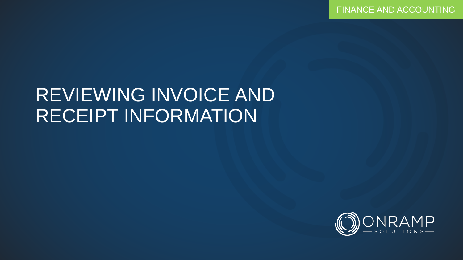FINANCE AND ACCOUNTING

## REVIEWING INVOICE AND RECEIPT INFORMATION

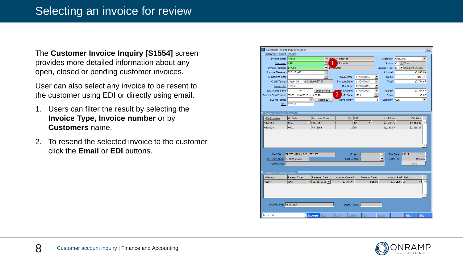The **Customer Invoice Inquiry [S1554]** screen provides more detailed information about any open, closed or pending customer invoices.

User can also select any invoice to be resent to the customer using EDI or directly using email.

- 1. Users can filter the result by selecting the **Invoice Type, Invoice number** or by **Customers** name.
- 2. To resend the selected invoice to the customer click the **Email** or **EDI** buttons.

|                                                   | Customer Invoice Inquiry [S1554]                     |                                      |                              |                                      |                      |                      |                                           |                              |                          | $\overline{\text{23}}$ |
|---------------------------------------------------|------------------------------------------------------|--------------------------------------|------------------------------|--------------------------------------|----------------------|----------------------|-------------------------------------------|------------------------------|--------------------------|------------------------|
| Customer Invoice Inquiry                          |                                                      |                                      |                              |                                      |                      |                      |                                           |                              |                          |                        |
| Invoice Type: <all></all>                         |                                                      |                                      |                              | In Select All Records                |                      |                      | Customer: GARLAND                         |                              |                          | $\blacktriangledown$   |
| Customer: <all></all>                             | $\vert$<br><b>Records</b>                            |                                      |                              |                                      |                      |                      | Status: C                                 | $\blacktriangleright$ Closed |                          |                        |
| Invoice Number: IN7089                            | $\blacksquare$ 1 <sub>1</sub> $\lightharpoonup$ 2015 |                                      |                              |                                      |                      |                      | Invoice Type:                             | 1s                           | ▼ Shipment Invoice       |                        |
| Invoice Filename: S20113.pdf                      |                                                      |                                      |                              |                                      |                      |                      | Subtotal:                                 |                              | \$6,897.94               |                        |
| Supporting Doc:                                   |                                                      |                                      |                              | Invoice Date: 11/10/2015             |                      | $\blacktriangledown$ | Taxes:                                    |                              | \$896.73                 |                        |
| Credit Terms: 1%10, 30                            |                                                      | $\mathbf{1}_{19610 \text{ NET } 30}$ |                              | Discount Date: 11/20/2015            |                      | ▼                    | Total:                                    |                              | \$7,794.67               |                        |
| Comments: S20113                                  |                                                      |                                      |                              |                                      | Due Date: 12/10/2015 | ▼                    |                                           |                              |                          |                        |
| EDI Invoice Sent:                                 | No                                                   |                                      | <b>Email Invoice</b>         | $\epsilon$ ective Date: $11/10/2015$ |                      | ▼                    | Applied:                                  |                              | \$7,794.67               |                        |
| Invoice Email Status: SENT: 11/10/2015 1:19:30 PM |                                                      |                                      |                              | 2<br>GL Code: 1201                   |                      | ▼                    | Open:                                     |                              |                          | \$0.00                 |
| EDI File Name:                                    |                                                      |                                      | Resend EDI                   | Days to Pay:                         |                      | 8                    | Currency: CDN                             |                              |                          | $\blacktriangledown$   |
|                                                   | <b>BOL: S20113</b>                                   |                                      |                              |                                      |                      |                      |                                           |                              |                          |                        |
|                                                   |                                                      |                                      |                              |                                      |                      |                      |                                           |                              |                          |                        |
| Customer Invoice Detail                           |                                                      |                                      |                              |                                      |                      |                      |                                           |                              |                          |                        |
| Part Number                                       | <b>GL</b> Code                                       |                                      | Purchase Order               | Qty UM                               |                      |                      | <b>Unit Price</b>                         |                              | <b>Ext Price</b>         |                        |
| 4529963                                           | 6001                                                 | $\blacksquare$   PR 73968            |                              | 4EA                                  | $\blacktriangledown$ |                      | \$1,145.70                                |                              | \$4,582.80               |                        |
| 4530230                                           | 6001                                                 | PR 73968                             |                              | 2 EA                                 |                      |                      | \$1,157.57                                |                              | \$2,315.14               |                        |
|                                                   |                                                      |                                      |                              |                                      |                      |                      |                                           |                              |                          |                        |
|                                                   | Part Desc: 3P STD GRILL - GAS ETCHED                 |                                      |                              |                                      |                      |                      |                                           |                              |                          |                        |
|                                                   |                                                      |                                      |                              |                                      |                      |                      |                                           |                              |                          |                        |
|                                                   |                                                      |                                      |                              | Cost Center:                         | Project:             |                      | $\blacktriangledown$<br><b>Total Tax:</b> | Tax Code: 88617              | \$595.76                 |                        |
| Comments:                                         | Inv Trans Num: IN7089 25228                          |                                      |                              |                                      |                      |                      |                                           |                              | Taxes                    |                        |
|                                                   |                                                      |                                      |                              |                                      |                      |                      |                                           |                              |                          |                        |
|                                                   |                                                      |                                      |                              |                                      |                      |                      |                                           |                              |                          |                        |
| Customer Receipt Detail<br>$\neg$ Receipt         | Receipt Type                                         |                                      | <b>Received Date</b>         | Amount Cleared                       | Discount Taken       |                      |                                           | Amount Paid Status           |                          |                        |
| 46397                                             | Існо                                                 | $\mathbf{v}$                         | $11/18/2015$ $\triangledown$ | \$7,794.67                           |                      | \$68.98              |                                           | \$7,725.69 A                 | $\overline{\phantom{a}}$ |                        |
|                                                   |                                                      |                                      |                              |                                      |                      |                      |                                           |                              |                          |                        |
| CR Filename: 46397.pdf                            |                                                      |                                      | $\mathbf{v}$                 | Deposit Date:                        |                      |                      |                                           |                              |                          |                        |

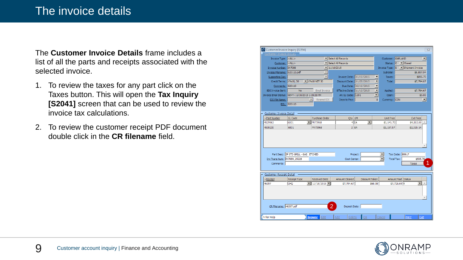The **Customer Invoice Details** frame includes a list of all the parts and receipts associated with the selected invoice.

- 1. To review the taxes for any part click on the Taxes button. This will open the **Tax Inquiry [S2041]** screen that can be used to review the invoice tax calculations.
- 2. To review the customer receipt PDF document double click in the **CR filename** field.

| Customer Invoice Inquiry [S1554]                  |                                      |                                              |                            |                              |                                    | $\Sigma$                                  |
|---------------------------------------------------|--------------------------------------|----------------------------------------------|----------------------------|------------------------------|------------------------------------|-------------------------------------------|
| Customer Invoice Inquiry                          |                                      |                                              |                            |                              |                                    |                                           |
| Invoice Type: <all></all>                         |                                      |                                              | ▼ Select All Records       |                              |                                    | Customer: GARLAND<br>$\blacktriangledown$ |
| Customer: <all></all>                             |                                      | ▼ Select All Records                         |                            | Status: C                    | $\blacksquare$ Closed              |                                           |
| Invoice Number: IN7089                            |                                      | $\mathbf{11}/10/2015$                        |                            | Invoice Type: S              | Shipment Invoice                   |                                           |
| Invoice Filename: S20113.pdf                      |                                      |                                              |                            |                              | Subtotal:                          | \$6,897.94                                |
| Supporting Doc:                                   |                                      | $\overline{\mathbf{v}}$                      |                            | Invoice Date: 11/10/2015     | $\blacktriangledown$<br>Taxes:     | \$896.73                                  |
| Credit Terms: 1%10, 30                            |                                      | $\blacktriangleright$ 1%10 NET 30            | Discount Date: 11/20/2015  |                              | $\overline{\phantom{0}}$<br>Total: | \$7,794.67                                |
| Comments: S20113                                  |                                      |                                              |                            | Due Date: 12/10/2015         | ▼                                  |                                           |
| <b>EDI Invoice Sent:</b>                          | <b>No</b>                            | <b>Email Invoice</b>                         | Effective Date: 11/10/2015 |                              | ▼<br>Applied:                      | \$7,794.67                                |
| Invoice Email Status: SENT: 11/10/2015 1:19:30 PM |                                      |                                              | AR GL Code: 1201           |                              | $\overline{\phantom{0}}$<br>Open:  | \$0.00                                    |
| EDI File Name:                                    |                                      | $\overline{\phantom{a}}$<br>Resend EDI       | Days to Pay:               |                              | 8<br>Currency: CDN                 | $\overline{\phantom{a}}$                  |
|                                                   | <b>BOL: S20113</b>                   |                                              |                            |                              |                                    |                                           |
|                                                   |                                      |                                              |                            |                              |                                    |                                           |
| Customer Invoice Detail                           |                                      |                                              |                            |                              |                                    |                                           |
| -Part Number                                      | GL Code                              | Purchase Order                               | Qty UM                     |                              | <b>Unit Price</b>                  | <b>Ext Price</b>                          |
| 4529963                                           | l6001                                | $\blacksquare$   PR 73968                    |                            | 4 EA<br>$\blacktriangledown$ | \$1,145.70                         | \$4,582.80                                |
| 4530230                                           | 6001                                 | PR 73968                                     |                            | 2 EA                         | \$1,157.57                         | \$2,315.14                                |
|                                                   |                                      |                                              |                            |                              |                                    |                                           |
|                                                   |                                      |                                              |                            |                              |                                    |                                           |
|                                                   | Part Desc: 3P STD GRILL - GAS ETCHED |                                              |                            | Project:                     | $\blacktriangledown$               | Tax Code: 88617                           |
| Inv Trans Num: IN7089_25228                       |                                      |                                              | Cost Center:               |                              | ۰                                  | Total Tax:<br>\$595.76                    |
| Comments:                                         |                                      |                                              |                            |                              |                                    | 1<br>Taxes                                |
|                                                   |                                      |                                              |                            |                              |                                    |                                           |
| <b>Customer Receipt Detail</b>                    |                                      |                                              |                            |                              |                                    |                                           |
| -Receipt                                          | Receipt Type                         | <b>Received Date</b>                         | Amount Cleared             | Discount Taken               |                                    | Amount Paid Status                        |
| 46397                                             | CHQ                                  | $11/18/2015$ $\blacktriangledown$<br>$\vert$ | \$7,794.67                 | \$68.98                      |                                    | $\blacktriangledown$<br>\$7,725.69 A      |
|                                                   |                                      |                                              |                            |                              |                                    |                                           |
|                                                   |                                      |                                              |                            |                              |                                    |                                           |
| CR Filename: 46397.pdf                            |                                      |                                              | 2<br>Deposit Date:         |                              |                                    |                                           |
| F1 for Help                                       |                                      | <b>Browse</b><br>Edit                        | Add<br>Delete              | $\overline{OK}$              | Cancel                             | Print<br>Exit                             |